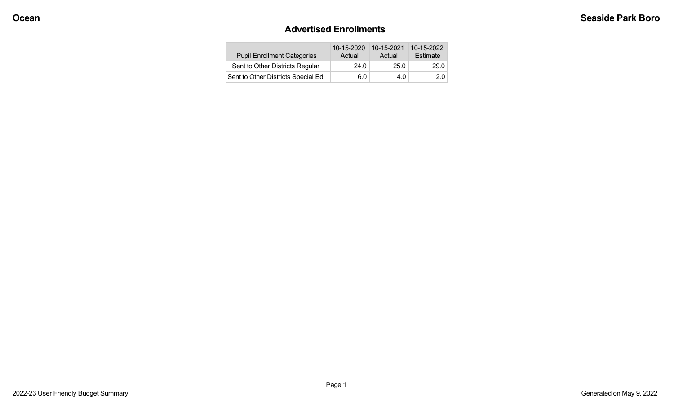#### **Advertised Enrollments**

| <b>Pupil Enrollment Categories</b> | 10-15-2020<br>Actual | 10-15-2021<br>Actual | 10-15-2022<br>Estimate |
|------------------------------------|----------------------|----------------------|------------------------|
| Sent to Other Districts Regular    | 24.0                 | 25.0                 | 29.0                   |
| Sent to Other Districts Special Ed | 6.0                  | 4.0                  | 2.0                    |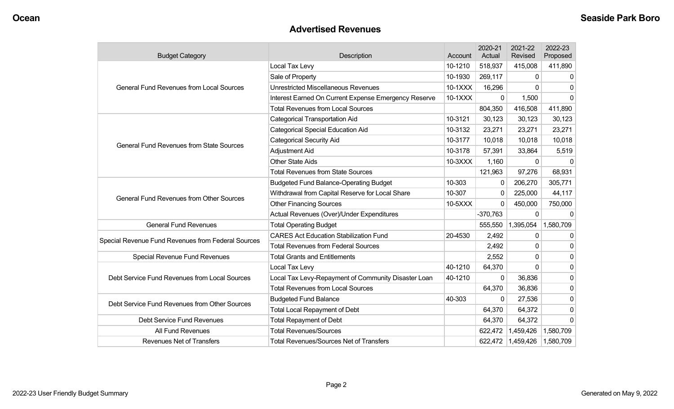### **Advertised Revenues**

| <b>Budget Category</b>                             | Description                                          | Account | 2020-21<br>Actual | 2021-22<br><b>Revised</b> | 2022-23<br>Proposed |
|----------------------------------------------------|------------------------------------------------------|---------|-------------------|---------------------------|---------------------|
|                                                    | Local Tax Levy                                       | 10-1210 | 518,937           | 415,008                   | 411,890             |
|                                                    | Sale of Property                                     | 10-1930 | 269,117           | 0                         | $\Omega$            |
| <b>General Fund Revenues from Local Sources</b>    | <b>Unrestricted Miscellaneous Revenues</b>           | 10-1XXX | 16,296            | $\Omega$                  | $\Omega$            |
|                                                    | Interest Earned On Current Expense Emergency Reserve | 10-1XXX | 0                 | 1,500                     | $\mathbf{0}$        |
|                                                    | <b>Total Revenues from Local Sources</b>             |         | 804,350           | 416,508                   | 411,890             |
|                                                    | <b>Categorical Transportation Aid</b>                | 10-3121 | 30,123            | 30,123                    | 30,123              |
|                                                    | <b>Categorical Special Education Aid</b>             | 10-3132 | 23,271            | 23,271                    | 23,271              |
| <b>General Fund Revenues from State Sources</b>    | <b>Categorical Security Aid</b>                      | 10-3177 | 10,018            | 10,018                    | 10,018              |
|                                                    | Adjustment Aid                                       | 10-3178 | 57,391            | 33,864                    | 5,519               |
|                                                    | <b>Other State Aids</b>                              | 10-3XXX | 1,160             | $\mathbf{0}$              |                     |
|                                                    | <b>Total Revenues from State Sources</b>             |         | 121,963           | 97,276                    | 68,931              |
|                                                    | <b>Budgeted Fund Balance-Operating Budget</b>        | 10-303  | 0                 | 206,270                   | 305,771             |
| <b>General Fund Revenues from Other Sources</b>    | Withdrawal from Capital Reserve for Local Share      | 10-307  | 0                 | 225,000                   | 44,117              |
|                                                    | <b>Other Financing Sources</b>                       | 10-5XXX | $\Omega$          | 450,000                   | 750,000             |
|                                                    | Actual Revenues (Over)/Under Expenditures            |         | $-370,763$        | 0                         | $\Omega$            |
| <b>General Fund Revenues</b>                       | <b>Total Operating Budget</b>                        |         | 555,550           | 1,395,054                 | 1,580,709           |
|                                                    | <b>CARES Act Education Stabilization Fund</b>        | 20-4530 | 2,492             | 0                         | 0                   |
| Special Revenue Fund Revenues from Federal Sources | <b>Total Revenues from Federal Sources</b>           |         | 2,492             | 0                         | $\mathbf{0}$        |
| Special Revenue Fund Revenues                      | <b>Total Grants and Entitlements</b>                 |         | 2,552             | 0                         | 0                   |
|                                                    | Local Tax Levy                                       | 40-1210 | 64,370            | $\Omega$                  | $\Omega$            |
| Debt Service Fund Revenues from Local Sources      | Local Tax Levy-Repayment of Community Disaster Loan  | 40-1210 | 0                 | 36,836                    | $\mathbf 0$         |
|                                                    | <b>Total Revenues from Local Sources</b>             |         | 64,370            | 36,836                    | $\mathbf 0$         |
| Debt Service Fund Revenues from Other Sources      | <b>Budgeted Fund Balance</b>                         | 40-303  | $\Omega$          | 27,536                    | $\mathbf{0}$        |
|                                                    | <b>Total Local Repayment of Debt</b>                 |         | 64,370            | 64,372                    | $\mathbf 0$         |
| <b>Debt Service Fund Revenues</b>                  | <b>Total Repayment of Debt</b>                       |         | 64,370            | 64,372                    | $\Omega$            |
| All Fund Revenues                                  | <b>Total Revenues/Sources</b>                        |         | 622,472           | 1,459,426                 | 1,580,709           |
| <b>Revenues Net of Transfers</b>                   | <b>Total Revenues/Sources Net of Transfers</b>       |         | 622,472           | 1,459,426                 | 1,580,709           |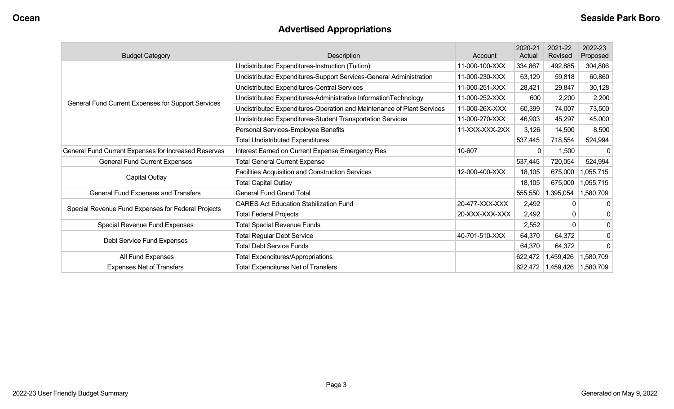# **Advertised Appropriations**

| <b>Budget Category</b>                               | Description                                                            | Account        | 2020-21<br>Actual | 2021-22<br>Revised | 2022-23<br>Proposed |
|------------------------------------------------------|------------------------------------------------------------------------|----------------|-------------------|--------------------|---------------------|
|                                                      | Undistributed Expenditures-Instruction (Tuition)                       | 11-000-100-XXX | 334,867           | 492,885            | 304,806             |
|                                                      | Undistributed Expenditures-Support Services-General Administration     | 11-000-230-XXX | 63,129            | 59,818             | 60,860              |
|                                                      | Undistributed Expenditures-Central Services                            | 11-000-251-XXX | 28,421            | 29,847             | 30,128              |
| General Fund Current Expenses for Support Services   | Undistributed Expenditures-Administrative InformationTechnology        | 11-000-252-XXX | 600               | 2,200              | 2,200               |
|                                                      | Undistributed Expenditures-Operation and Maintenance of Plant Services | 11-000-26X-XXX | 60,399            | 74,007             | 73,500              |
|                                                      | Undistributed Expenditures-Student Transportation Services             | 11-000-270-XXX | 46,903            | 45,297             | 45,000              |
|                                                      | Personal Services-Employee Benefits                                    | 11-XXX-XXX-2XX | 3,126             | 14,500             | 8,500               |
|                                                      | <b>Total Undistributed Expenditures</b>                                |                | 537,445           | 718,554            | 524,994             |
| General Fund Current Expenses for Increased Reserves | Interest Earned on Current Expense Emergency Res                       | 10-607         | $\Omega$          | 1,500              |                     |
| <b>General Fund Current Expenses</b>                 | <b>Total General Current Expense</b>                                   |                | 537,445           | 720,054            | 524,994             |
| Capital Outlay                                       | Facilities Acquisition and Construction Services                       | 12-000-400-XXX | 18,105            | 675,000            | 1,055,715           |
|                                                      | <b>Total Capital Outlay</b>                                            |                | 18,105            | 675,000            | 1,055,715           |
| General Fund Expenses and Transfers                  | <b>General Fund Grand Total</b>                                        |                | 555,550           | 1,395,054          | 1,580,709           |
| Special Revenue Fund Expenses for Federal Projects   | <b>CARES Act Education Stabilization Fund</b>                          | 20-477-XXX-XXX | 2,492             | $\Omega$           | 0                   |
|                                                      | <b>Total Federal Projects</b>                                          | 20-XXX-XXX-XXX | 2,492             | 0                  | 0                   |
| Special Revenue Fund Expenses                        | <b>Total Special Revenue Funds</b>                                     |                | 2,552             | $\Omega$           | $\mathbf 0$         |
| Debt Service Fund Expenses                           | <b>Total Regular Debt Service</b>                                      | 40-701-510-XXX | 64,370            | 64,372             | $\mathbf 0$         |
|                                                      | <b>Total Debt Service Funds</b>                                        |                | 64,370            | 64,372             | $\Omega$            |
| All Fund Expenses                                    | <b>Total Expenditures/Appropriations</b>                               |                | 622,472           | 1,459,426          | 1,580,709           |
| <b>Expenses Net of Transfers</b>                     | <b>Total Expenditures Net of Transfers</b>                             |                | 622,472           | 1,459,426          | 1,580,709           |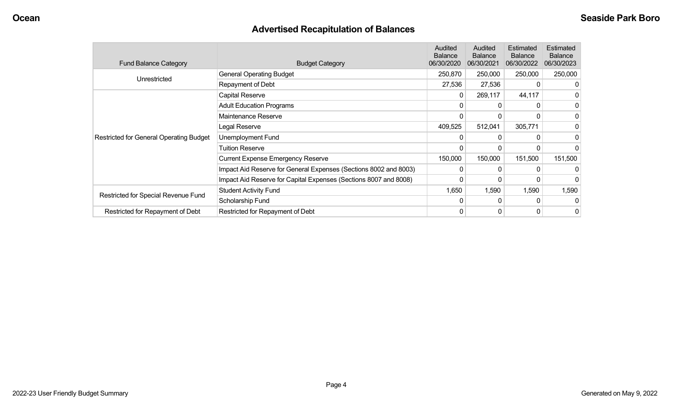# **Advertised Recapitulation of Balances**

| <b>Fund Balance Category</b>                   | <b>Budget Category</b>                                           | <b>Audited</b><br><b>Balance</b><br>06/30/2020 | Audited<br><b>Balance</b><br>06/30/2021 | Estimated<br><b>Balance</b><br>06/30/2022 | Estimated<br><b>Balance</b><br>06/30/2023 |
|------------------------------------------------|------------------------------------------------------------------|------------------------------------------------|-----------------------------------------|-------------------------------------------|-------------------------------------------|
| Unrestricted                                   | <b>General Operating Budget</b>                                  | 250,870                                        | 250,000                                 | 250,000                                   | 250,000                                   |
|                                                | Repayment of Debt                                                | 27,536                                         | 27,536                                  |                                           | O                                         |
|                                                | Capital Reserve                                                  | 0                                              | 269,117                                 | 44,117                                    | 0                                         |
|                                                | <b>Adult Education Programs</b>                                  | 0                                              |                                         |                                           | 0                                         |
|                                                | Maintenance Reserve                                              | $\mathbf{0}$                                   | $\Omega$                                |                                           | 0                                         |
|                                                | Legal Reserve                                                    | 409,525                                        | 512,041                                 | 305,771                                   |                                           |
| <b>Restricted for General Operating Budget</b> | Unemployment Fund                                                | 0                                              |                                         |                                           | 0                                         |
|                                                | <b>Tuition Reserve</b>                                           | 0                                              |                                         |                                           |                                           |
|                                                | <b>Current Expense Emergency Reserve</b>                         | 150,000                                        | 150,000                                 | 151,500                                   | 151,500                                   |
|                                                | Impact Aid Reserve for General Expenses (Sections 8002 and 8003) | 0                                              |                                         |                                           |                                           |
|                                                | Impact Aid Reserve for Capital Expenses (Sections 8007 and 8008) | 0                                              |                                         |                                           | 0                                         |
|                                                | <b>Student Activity Fund</b>                                     | 1,650                                          | 1,590                                   | 1,590                                     | 1,590                                     |
| Restricted for Special Revenue Fund            | Scholarship Fund                                                 | 0                                              | $\Omega$                                | 0                                         | 0                                         |
| Restricted for Repayment of Debt               | Restricted for Repayment of Debt                                 | 0                                              | 0                                       | 0                                         | 0                                         |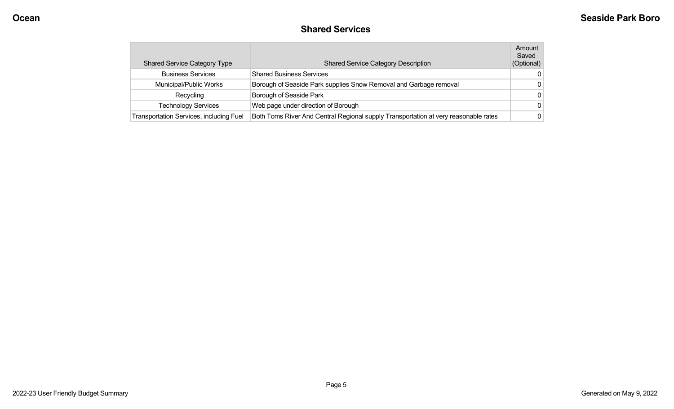#### **Shared Services**

| <b>Shared Service Category Type</b>            | <b>Shared Service Category Description</b>                                          | Amount<br>Saved<br>(Optional) |
|------------------------------------------------|-------------------------------------------------------------------------------------|-------------------------------|
| <b>Business Services</b>                       | <b>Shared Business Services</b>                                                     | 0                             |
| Municipal/Public Works                         | Borough of Seaside Park supplies Snow Removal and Garbage removal                   | $\Omega$                      |
| Recycling                                      | Borough of Seaside Park                                                             | $\Omega$                      |
| <b>Technology Services</b>                     | Web page under direction of Borough                                                 | $\Omega$                      |
| <b>Transportation Services, including Fuel</b> | Both Toms River And Central Regional supply Transportation at very reasonable rates | $\Omega$                      |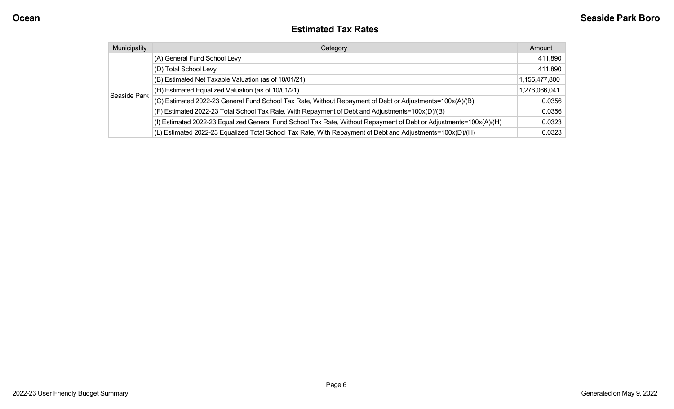#### **Estimated Tax Rates**

| Municipality | Category                                                                                                           | Amount        |
|--------------|--------------------------------------------------------------------------------------------------------------------|---------------|
|              | (A) General Fund School Levy                                                                                       | 411,890       |
|              | (D) Total School Levy                                                                                              | 411,890       |
|              | (B) Estimated Net Taxable Valuation (as of 10/01/21)                                                               | 1,155,477,800 |
|              | (H) Estimated Equalized Valuation (as of 10/01/21)                                                                 | 1,276,066,041 |
| Seaside Park | (C) Estimated 2022-23 General Fund School Tax Rate, Without Repayment of Debt or Adjustments=100x(A)/(B)           | 0.0356        |
|              | (F) Estimated 2022-23 Total School Tax Rate, With Repayment of Debt and Adjustments=100x(D)/(B)                    | 0.0356        |
|              | (I) Estimated 2022-23 Equalized General Fund School Tax Rate, Without Repayment of Debt or Adjustments=100x(A)/(H) | 0.0323        |
|              | (L) Estimated 2022-23 Equalized Total School Tax Rate, With Repayment of Debt and Adjustments=100x(D)/(H)          | 0.0323        |